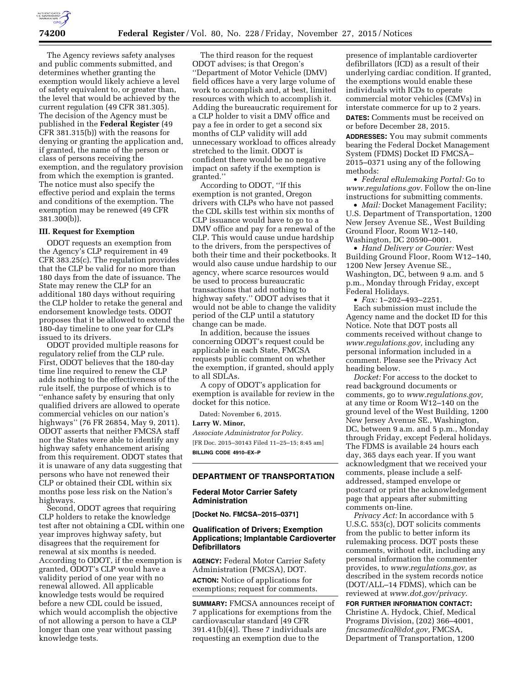

The Agency reviews safety analyses and public comments submitted, and determines whether granting the exemption would likely achieve a level of safety equivalent to, or greater than, the level that would be achieved by the current regulation (49 CFR 381.305). The decision of the Agency must be published in the **Federal Register** (49 CFR 381.315(b)) with the reasons for denying or granting the application and, if granted, the name of the person or class of persons receiving the exemption, and the regulatory provision from which the exemption is granted. The notice must also specify the effective period and explain the terms and conditions of the exemption. The exemption may be renewed (49 CFR 381.300(b)).

### **III. Request for Exemption**

ODOT requests an exemption from the Agency's CLP requirement in 49 CFR 383.25(c). The regulation provides that the CLP be valid for no more than 180 days from the date of issuance. The State may renew the CLP for an additional 180 days without requiring the CLP holder to retake the general and endorsement knowledge tests. ODOT proposes that it be allowed to extend the 180-day timeline to one year for CLPs issued to its drivers.

ODOT provided multiple reasons for regulatory relief from the CLP rule. First, ODOT believes that the 180-day time line required to renew the CLP adds nothing to the effectiveness of the rule itself, the purpose of which is to ''enhance safety by ensuring that only qualified drivers are allowed to operate commercial vehicles on our nation's highways'' (76 FR 26854, May 9, 2011). ODOT asserts that neither FMCSA staff nor the States were able to identify any highway safety enhancement arising from this requirement. ODOT states that it is unaware of any data suggesting that persons who have not renewed their CLP or obtained their CDL within six months pose less risk on the Nation's highways.

Second, ODOT agrees that requiring CLP holders to retake the knowledge test after not obtaining a CDL within one year improves highway safety, but disagrees that the requirement for renewal at six months is needed. According to ODOT, if the exemption is granted, ODOT's CLP would have a validity period of one year with no renewal allowed. All applicable knowledge tests would be required before a new CDL could be issued, which would accomplish the objective of not allowing a person to have a CLP longer than one year without passing knowledge tests.

The third reason for the request ODOT advises; is that Oregon's ''Department of Motor Vehicle (DMV) field offices have a very large volume of work to accomplish and, at best, limited resources with which to accomplish it. Adding the bureaucratic requirement for a CLP holder to visit a DMV office and pay a fee in order to get a second six months of CLP validity will add unnecessary workload to offices already stretched to the limit. ODOT is confident there would be no negative impact on safety if the exemption is granted.''

According to ODOT, ''If this exemption is not granted, Oregon drivers with CLPs who have not passed the CDL skills test within six months of CLP issuance would have to go to a DMV office and pay for a renewal of the CLP. This would cause undue hardship to the drivers, from the perspectives of both their time and their pocketbooks. It would also cause undue hardship to our agency, where scarce resources would be used to process bureaucratic transactions that add nothing to highway safety.'' ODOT advises that it would not be able to change the validity period of the CLP until a statutory change can be made.

In addition, because the issues concerning ODOT's request could be applicable in each State, FMCSA requests public comment on whether the exemption, if granted, should apply to all SDLAs.

A copy of ODOT's application for exemption is available for review in the docket for this notice.

Dated: November 6, 2015.

# **Larry W. Minor,**

*Associate Administrator for Policy.*  [FR Doc. 2015–30143 Filed 11–25–15; 8:45 am] **BILLING CODE 4910–EX–P** 

### **DEPARTMENT OF TRANSPORTATION**

### **Federal Motor Carrier Safety Administration**

**[Docket No. FMCSA–2015–0371]** 

# **Qualification of Drivers; Exemption Applications; Implantable Cardioverter Defibrillators**

**AGENCY:** Federal Motor Carrier Safety Administration (FMCSA), DOT. **ACTION:** Notice of applications for exemptions; request for comments.

**SUMMARY:** FMCSA announces receipt of 7 applications for exemptions from the cardiovascular standard [49 CFR 391.41(b)(4)]. These 7 individuals are requesting an exemption due to the

presence of implantable cardioverter defibrillators (ICD) as a result of their underlying cardiac condition. If granted, the exemptions would enable these individuals with ICDs to operate commercial motor vehicles (CMVs) in interstate commerce for up to 2 years.

**DATES:** Comments must be received on or before December 28, 2015.

**ADDRESSES:** You may submit comments bearing the Federal Docket Management System (FDMS) Docket ID FMCSA– 2015–0371 using any of the following methods:

• *Federal eRulemaking Portal:* Go to *[www.regulations.gov](http://www.regulations.gov)*. Follow the on-line instructions for submitting comments.

• *Mail:* Docket Management Facility; U.S. Department of Transportation, 1200 New Jersey Avenue SE., West Building Ground Floor, Room W12–140, Washington, DC 20590–0001.

• *Hand Delivery or Courier:* West Building Ground Floor, Room W12–140, 1200 New Jersey Avenue SE., Washington, DC, between 9 a.m. and 5 p.m., Monday through Friday, except Federal Holidays.

• *Fax:* 1–202–493–2251. Each submission must include the Agency name and the docket ID for this Notice. Note that DOT posts all comments received without change to *[www.regulations.gov,](http://www.regulations.gov)* including any personal information included in a comment. Please see the Privacy Act heading below.

*Docket:* For access to the docket to read background documents or comments, go to *[www.regulations.gov,](http://www.regulations.gov)*  at any time or Room W12–140 on the ground level of the West Building, 1200 New Jersey Avenue SE., Washington, DC, between 9 a.m. and 5 p.m., Monday through Friday, except Federal holidays. The FDMS is available 24 hours each day, 365 days each year. If you want acknowledgment that we received your comments, please include a selfaddressed, stamped envelope or postcard or print the acknowledgement page that appears after submitting comments on-line.

*Privacy Act:* In accordance with 5 U.S.C. 553(c), DOT solicits comments from the public to better inform its rulemaking process. DOT posts these comments, without edit, including any personal information the commenter provides, to *[www.regulations.gov,](http://www.regulations.gov)* as described in the system records notice (DOT/ALL–14 FDMS), which can be reviewed at *[www.dot.gov/privacy](http://www.dot.gov/privacy)*.

**FOR FURTHER INFORMATION CONTACT:**  Christine A. Hydock, Chief, Medical Programs Division, (202) 366–4001, *[fmcsamedical@dot.gov,](mailto:fmcsamedical@dot.gov)* FMCSA, Department of Transportation, 1200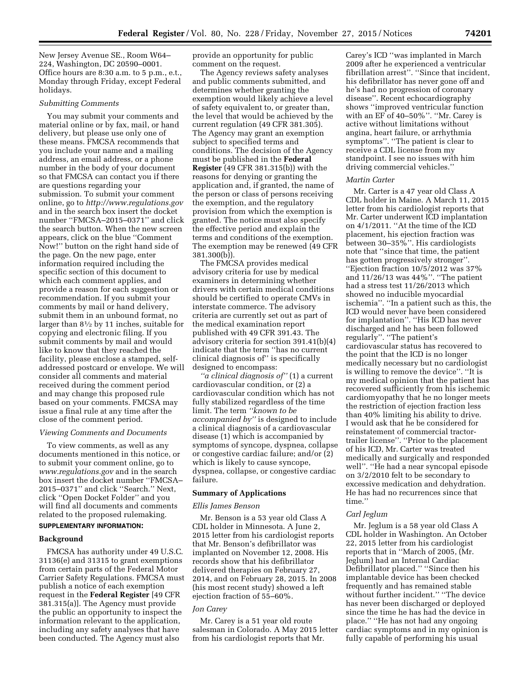New Jersey Avenue SE., Room W64– 224, Washington, DC 20590–0001. Office hours are 8:30 a.m. to 5 p.m., e.t., Monday through Friday, except Federal holidays.

#### *Submitting Comments*

You may submit your comments and material online or by fax, mail, or hand delivery, but please use only one of these means. FMCSA recommends that you include your name and a mailing address, an email address, or a phone number in the body of your document so that FMCSA can contact you if there are questions regarding your submission. To submit your comment online, go to *<http://www.regulations.gov>*  and in the search box insert the docket number ''FMCSA–2015–0371'' and click the search button. When the new screen appears, click on the blue ''Comment Now!'' button on the right hand side of the page. On the new page, enter information required including the specific section of this document to which each comment applies, and provide a reason for each suggestion or recommendation. If you submit your comments by mail or hand delivery, submit them in an unbound format, no larger than 81⁄2 by 11 inches, suitable for copying and electronic filing. If you submit comments by mail and would like to know that they reached the facility, please enclose a stamped, selfaddressed postcard or envelope. We will consider all comments and material received during the comment period and may change this proposed rule based on your comments. FMCSA may issue a final rule at any time after the close of the comment period.

### *Viewing Comments and Documents*

To view comments, as well as any documents mentioned in this notice, or to submit your comment online, go to *[www.regulations.gov](http://www.regulations.gov)* and in the search box insert the docket number ''FMCSA– 2015–0371'' and click ''Search.'' Next, click ''Open Docket Folder'' and you will find all documents and comments related to the proposed rulemaking.

# **SUPPLEMENTARY INFORMATION:**

### **Background**

FMCSA has authority under 49 U.S.C. 31136(e) and 31315 to grant exemptions from certain parts of the Federal Motor Carrier Safety Regulations. FMCSA must publish a notice of each exemption request in the **Federal Register** [49 CFR 381.315(a)]. The Agency must provide the public an opportunity to inspect the information relevant to the application, including any safety analyses that have been conducted. The Agency must also

provide an opportunity for public comment on the request.

The Agency reviews safety analyses and public comments submitted, and determines whether granting the exemption would likely achieve a level of safety equivalent to, or greater than, the level that would be achieved by the current regulation (49 CFR 381.305). The Agency may grant an exemption subject to specified terms and conditions. The decision of the Agency must be published in the **Federal Register** (49 CFR 381.315(b)) with the reasons for denying or granting the application and, if granted, the name of the person or class of persons receiving the exemption, and the regulatory provision from which the exemption is granted. The notice must also specify the effective period and explain the terms and conditions of the exemption. The exemption may be renewed (49 CFR 381.300(b)).

The FMCSA provides medical advisory criteria for use by medical examiners in determining whether drivers with certain medical conditions should be certified to operate CMVs in interstate commerce. The advisory criteria are currently set out as part of the medical examination report published with 49 CFR 391.43. The advisory criteria for section 391.41(b)(4) indicate that the term ''has no current clinical diagnosis of'' is specifically designed to encompass:

*''a clinical diagnosis of''* (1) a current cardiovascular condition, or (2) a cardiovascular condition which has not fully stabilized regardless of the time limit. The term *''known to be accompanied by''* is designed to include a clinical diagnosis of a cardiovascular disease (1) which is accompanied by symptoms of syncope, dyspnea, collapse or congestive cardiac failure; and/or (2) which is likely to cause syncope, dyspnea, collapse, or congestive cardiac failure.

#### **Summary of Applications**

### *Ellis James Benson*

Mr. Benson is a 53 year old Class A CDL holder in Minnesota. A June 2, 2015 letter from his cardiologist reports that Mr. Benson's defibrillator was implanted on November 12, 2008. His records show that his defibrillator delivered therapies on February 27, 2014, and on February 28, 2015. In 2008 (his most recent study) showed a left ejection fraction of 55–60%.

#### *Jon Carey*

Mr. Carey is a 51 year old route salesman in Colorado. A May 2015 letter from his cardiologist reports that Mr.

Carey's ICD ''was implanted in March 2009 after he experienced a ventricular fibrillation arrest''. ''Since that incident, his defibrillator has never gone off and he's had no progression of coronary disease''. Recent echocardiography shows ''improved ventricular function with an EF of 40–50%''. ''Mr. Carey is active without limitations without angina, heart failure, or arrhythmia symptoms''. ''The patient is clear to receive a CDL license from my standpoint. I see no issues with him driving commercial vehicles.''

#### *Martin Carter*

Mr. Carter is a 47 year old Class A CDL holder in Maine. A March 11, 2015 letter from his cardiologist reports that Mr. Carter underwent ICD implantation on 4/1/2011. ''At the time of the ICD placement, his ejection fraction was between 30–35%''. His cardiologists note that ''since that time, the patient has gotten progressively stronger''. ''Ejection fraction 10/5/2012 was 37% and 11/26/13 was 44%''. ''The patient had a stress test 11/26/2013 which showed no inducible myocardial ischemia''. ''In a patient such as this, the ICD would never have been considered for implantation''. ''His ICD has never discharged and he has been followed regularly''. ''The patient's cardiovascular status has recovered to the point that the ICD is no longer medically necessary but no cardiologist is willing to remove the device''. ''It is my medical opinion that the patient has recovered sufficiently from his ischemic cardiomyopathy that he no longer meets the restriction of ejection fraction less than 40% limiting his ability to drive. I would ask that he be considered for reinstatement of commercial tractortrailer license''. ''Prior to the placement of his ICD, Mr. Carter was treated medically and surgically and responded well''. ''He had a near syncopal episode on 3/2/2010 felt to be secondary to excessive medication and dehydration. He has had no recurrences since that time.''

### *Carl Jeglum*

Mr. Jeglum is a 58 year old Class A CDL holder in Washington. An October 22, 2015 letter from his cardiologist reports that in ''March of 2005, (Mr. Jeglum) had an Internal Cardiac Defibrillator placed.'' ''Since then his implantable device has been checked frequently and has remained stable without further incident.'' ''The device has never been discharged or deployed since the time he has had the device in place.'' ''He has not had any ongoing cardiac symptoms and in my opinion is fully capable of performing his usual